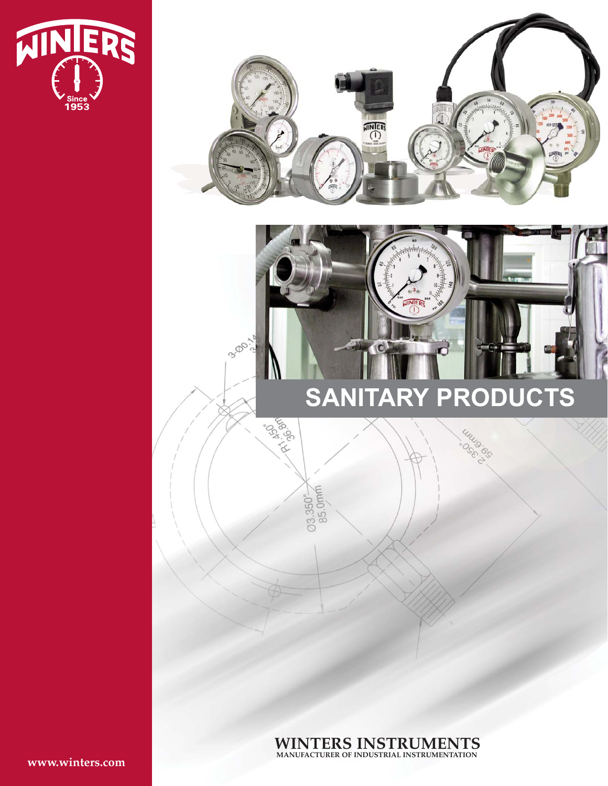



**WINTERS INSTRUMENTS MANUFACTURER OF INDUSTRIAL INSTRUMENTATION**

**www.winters.com**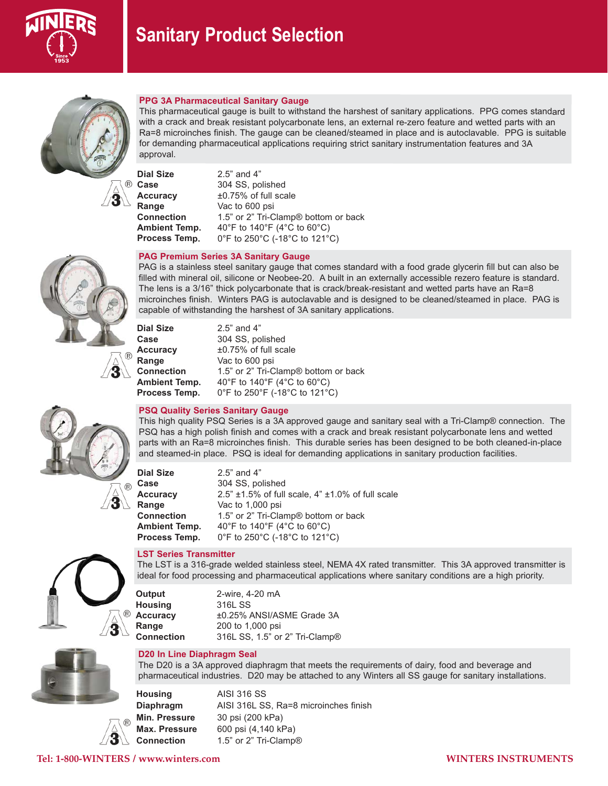



# **PPG 3A Pharmaceutical Sanitary Gauge**

This pharmaceutical gauge is built to withstand the harshest of sanitary applications. PPG comes standard with a crack and break resistant polycarbonate lens, an external re-zero feature and wetted parts with an Ra=8 microinches finish. The gauge can be cleaned/steamed in place and is autoclavable. PPG is suitable for demanding pharmaceutical applications requiring strict sanitary instrumentation features and 3A approval.

**Dial Size** 2.5" and 4" **Case** 304 SS, polished **Accuracy**  $\pm 0.75\%$  of full scale<br>**Range** Vac to 600 psi Vac to 600 psi **Connection** 1.5" or 2" Tri-Clamp® bottom or back **Ambient Temp.**  $40^{\circ}$ F to  $140^{\circ}$ F ( $4^{\circ}$ C to  $60^{\circ}$ C) **Process Temp.** 0°F to 250°C (-18°C to 121°C)

# **PAG Premium Series 3A Sanitary Gauge**

PAG is a stainless steel sanitary gauge that comes standard with a food grade glycerin fill but can also be filled with mineral oil, silicone or Neobee-20. A built in an externally accessible rezero feature is standard. The lens is a 3/16" thick polycarbonate that is crack/break-resistant and wetted parts have an Ra=8 microinches finish. Winters PAG is autoclavable and is designed to be cleaned/steamed in place. PAG is capable of withstanding the harshest of 3A sanitary applications.

| <b>Dial Size</b> | $2.5$ " and 4"                                   |
|------------------|--------------------------------------------------|
| Case             | 304 SS, polished                                 |
| Accuracy         | ±0.75% of full scale                             |
| Range            | Vac to 600 psi                                   |
| Connection       | 1.5" or 2" Tri-Clamp <sup>®</sup> bottom or back |
| Ambient Temp.    | 40°F to 140°F (4°C to 60°C)                      |
| Process Temp.    | 0°F to 250°F (-18°C to 121°C)                    |
|                  |                                                  |



#### **PSQ Quality Series Sanitary Gauge**

This high quality PSQ Series is a 3A approved gauge and sanitary seal with a Tri-Clamp® connection. The PSQ has a high polish finish and comes with a crack and break resistant polycarbonate lens and wetted parts with an Ra=8 microinches finish. This durable series has been designed to be both cleaned-in-place and steamed-in place. PSQ is ideal for demanding applications in sanitary production facilities.

| <b>Dial Size</b>     | $2.5$ " and $4$ "                                          |
|----------------------|------------------------------------------------------------|
| Case                 | 304 SS, polished                                           |
| <b>Accuracy</b>      | 2.5" $\pm$ 1.5% of full scale, 4" $\pm$ 1.0% of full scale |
| Range                | Vac to 1,000 psi                                           |
| <b>Connection</b>    | 1.5" or 2" Tri-Clamp <sup>®</sup> bottom or back           |
| <b>Ambient Temp.</b> | 40°F to 140°F (4°C to 60°C)                                |
| Process Temp.        | 0°F to 250°C (-18°C to 121°C)                              |



### **LST Series Transmitter**

The LST is a 316-grade welded stainless steel, NEMA 4X rated transmitter. This 3A approved transmitter is ideal for food processing and pharmaceutical applications where sanitary conditions are a high priority.

**Output** 2-wire, 4-20 mA **Housing** 316L SS **Accuracy** ±0.25% ANSI/ASME Grade 3A **Range** 200 to 1,000 psi **Connection** 316L SS, 1.5" or 2" Tri-Clamp®

# **D20 In Line Diaphragm Seal**

The D20 is a 3A approved diaphragm that meets the requirements of dairy, food and beverage and pharmaceutical industries. D20 may be attached to any Winters all SS gauge for sanitary installations.

**Housing** AISI 316 SS **Diaphragm** AISI 316L SS, Ra=8 microinches finish **Min. Pressure** 30 psi (200 kPa) **Max. Pressure** 600 psi (4,140 kPa) **Connection** 1.5" or 2" Tri-Clamp®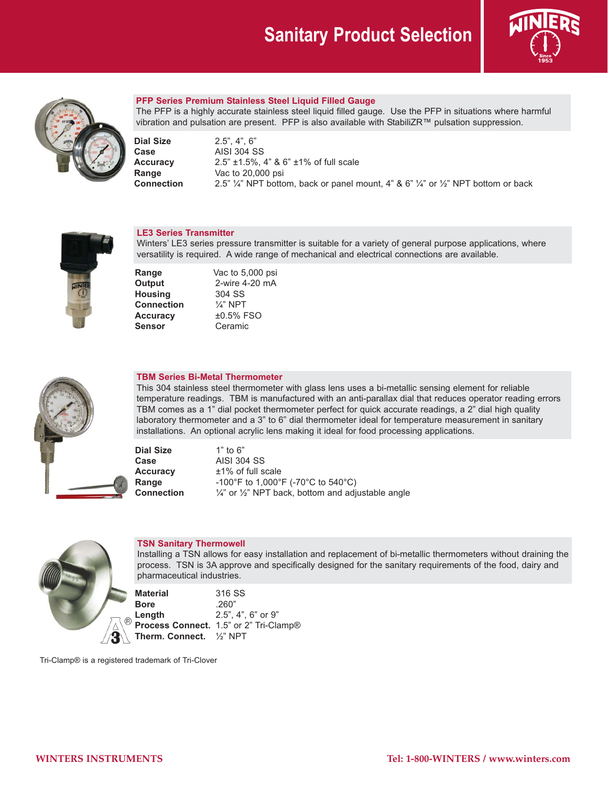# **Sanitary Product Selection**





# **PFP Series Premium Stainless Steel Liquid Filled Gauge**

The PFP is a highly accurate stainless steel liquid filled gauge. Use the PFP in situations where harmful vibration and pulsation are present. PFP is also available with StabiliZR™ pulsation suppression.

**Dial Size** 2.5", 4", 6"

**Case** AISI 304 SS **Accuracy** 2.5" ±1.5%, 4" & 6" ±1% of full scale<br> **Range** Vac to 20,000 psi **Range** Vac to 20,000 psi **Connection** 2.5" 1/4" NPT bottom, back or panel mount, 4" & 6" 1/4" or 1/2" NPT bottom or back



# **LE3 Series Transmitter**

Winters' LE3 series pressure transmitter is suitable for a variety of general purpose applications, where versatility is required. A wide range of mechanical and electrical connections are available.

**Range** Vac to 5,000 psi<br> **Output** 2-wire 4-20 mA 2-wire 4-20 mA<br>304 SS **Housing** 304 SS<br>**Connection** <sup>1</sup>/<sub>4</sub>" NPT **Connection Accuracy** ±0.5% FSO **Sensor** Ceramic



#### **TBM Series Bi-Metal Thermometer**

This 304 stainless steel thermometer with glass lens uses a bi-metallic sensing element for reliable temperature readings. TBM is manufactured with an anti-parallax dial that reduces operator reading errors TBM comes as a 1" dial pocket thermometer perfect for quick accurate readings, a 2" dial high quality laboratory thermometer and a 3" to 6" dial thermometer ideal for temperature measurement in sanitary installations. An optional acrylic lens making it ideal for food processing applications.

**Dial Size** 1" to 6" **Case** AISI 304 SS **Accuracy** ±1% of full scale **Range** -100°F to 1,000°F (-70°C to 540°C) **Connection**  $\frac{1}{4}$ " or  $\frac{1}{2}$ " NPT back, bottom and adjustable angle



# **TSN Sanitary Thermowell**

Installing a TSN allows for easy installation and replacement of bi-metallic thermometers without draining the process. TSN is 3A approve and specifically designed for the sanitary requirements of the food, dairy and pharmaceutical industries.

**Material** 316 SS **Bore** .260"<br>**Length** 2.5", **Length** 2.5", 4", 6" or 9" **Process Connect.** 1.5" or 2" Tri-Clamp® **Therm. Connect.** ½" NPT

Tri-Clamp® is a registered trademark of Tri-Clover